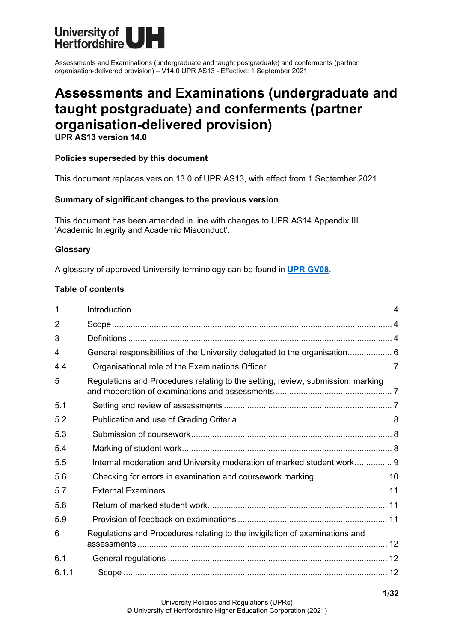

# **Assessments and Examinations (undergraduate and taught postgraduate) and conferments (partner organisation-delivered provision)**

**UPR AS13 version 14.0**

#### **Policies superseded by this document**

This document replaces version 13.0 of UPR AS13, with effect from 1 September 2021.

#### **Summary of significant changes to the previous version**

This document has been amended in line with changes to UPR AS14 Appendix III 'Academic Integrity and Academic Misconduct'.

#### **Glossary**

A glossary of approved University terminology can be found in **[UPR GV08](https://www.herts.ac.uk/__data/assets/pdf_file/0020/233057/GV08-Glossary-of-Terminology.pdf)**.

#### **Table of contents**

| 1     |                                                                                 |  |
|-------|---------------------------------------------------------------------------------|--|
| 2     |                                                                                 |  |
| 3     |                                                                                 |  |
| 4     | General responsibilities of the University delegated to the organisation 6      |  |
| 4.4   |                                                                                 |  |
| 5     | Regulations and Procedures relating to the setting, review, submission, marking |  |
| 5.1   |                                                                                 |  |
| 5.2   |                                                                                 |  |
| 5.3   |                                                                                 |  |
| 5.4   |                                                                                 |  |
| 5.5   | Internal moderation and University moderation of marked student work 9          |  |
| 5.6   |                                                                                 |  |
| 5.7   |                                                                                 |  |
| 5.8   |                                                                                 |  |
| 5.9   |                                                                                 |  |
| 6     | Regulations and Procedures relating to the invigilation of examinations and     |  |
| 6.1   |                                                                                 |  |
| 6.1.1 |                                                                                 |  |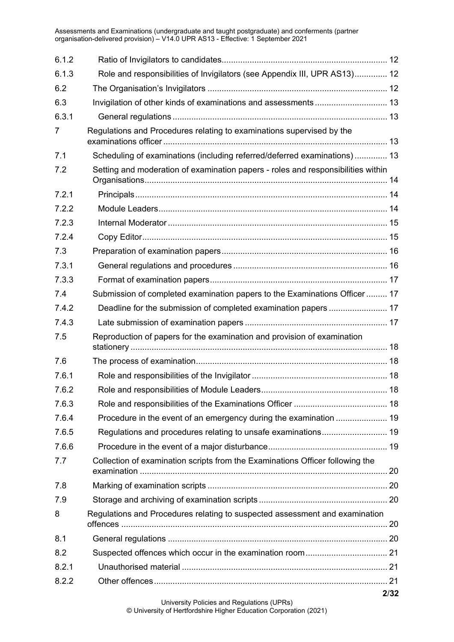| 6.1.2          |                                                                                  |      |
|----------------|----------------------------------------------------------------------------------|------|
| 6.1.3          | Role and responsibilities of Invigilators (see Appendix III, UPR AS13) 12        |      |
| 6.2            |                                                                                  |      |
| 6.3            |                                                                                  |      |
| 6.3.1          |                                                                                  |      |
| $\overline{7}$ | Regulations and Procedures relating to examinations supervised by the            |      |
| 7.1            | Scheduling of examinations (including referred/deferred examinations) 13         |      |
| 7.2            | Setting and moderation of examination papers - roles and responsibilities within |      |
| 7.2.1          |                                                                                  |      |
| 7.2.2          |                                                                                  |      |
| 7.2.3          |                                                                                  |      |
| 7.2.4          |                                                                                  |      |
| 7.3            |                                                                                  |      |
| 7.3.1          |                                                                                  |      |
| 7.3.3          |                                                                                  |      |
| 7.4            | Submission of completed examination papers to the Examinations Officer  17       |      |
| 7.4.2          | Deadline for the submission of completed examination papers  17                  |      |
| 7.4.3          |                                                                                  |      |
| 7.5            | Reproduction of papers for the examination and provision of examination          |      |
| 7.6            |                                                                                  |      |
| 7.6.1          |                                                                                  |      |
| 7.6.2          |                                                                                  |      |
| 7.6.3          |                                                                                  |      |
| 7.6.4          |                                                                                  |      |
| 7.6.5          |                                                                                  |      |
| 7.6.6          |                                                                                  |      |
| 7.7            | Collection of examination scripts from the Examinations Officer following the    |      |
| 7.8            |                                                                                  |      |
| 7.9            |                                                                                  |      |
| 8              | Regulations and Procedures relating to suspected assessment and examination      |      |
| 8.1            |                                                                                  |      |
| 8.2            |                                                                                  |      |
| 8.2.1          |                                                                                  |      |
| 8.2.2          |                                                                                  |      |
|                |                                                                                  | 2/32 |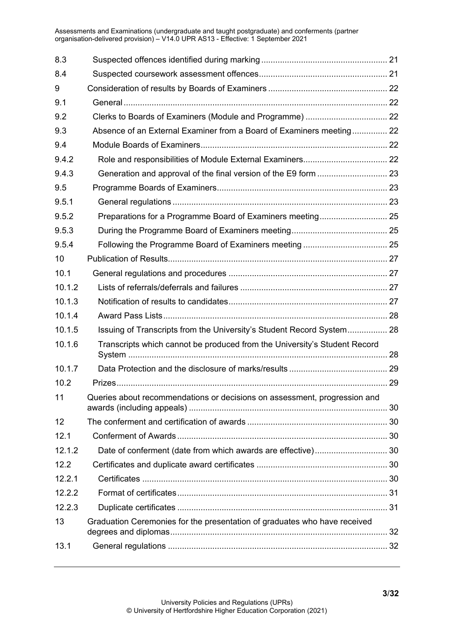| 8.3    |                                                                           |  |
|--------|---------------------------------------------------------------------------|--|
| 8.4    |                                                                           |  |
| 9      |                                                                           |  |
| 9.1    |                                                                           |  |
| 9.2    |                                                                           |  |
| 9.3    | Absence of an External Examiner from a Board of Examiners meeting 22      |  |
| 9.4    |                                                                           |  |
| 9.4.2  |                                                                           |  |
| 9.4.3  |                                                                           |  |
| 9.5    |                                                                           |  |
| 9.5.1  |                                                                           |  |
| 9.5.2  |                                                                           |  |
| 9.5.3  |                                                                           |  |
| 9.5.4  |                                                                           |  |
| 10     |                                                                           |  |
| 10.1   |                                                                           |  |
| 10.1.2 |                                                                           |  |
| 10.1.3 |                                                                           |  |
| 10.1.4 |                                                                           |  |
| 10.1.5 | Issuing of Transcripts from the University's Student Record System 28     |  |
| 10.1.6 | Transcripts which cannot be produced from the University's Student Record |  |
| 10.1.7 |                                                                           |  |
| 10.2   |                                                                           |  |
| 11     | Queries about recommendations or decisions on assessment, progression and |  |
| 12     |                                                                           |  |
| 12.1   |                                                                           |  |
| 12.1.2 |                                                                           |  |
| 12.2   |                                                                           |  |
| 12.2.1 |                                                                           |  |
| 12.2.2 |                                                                           |  |
| 12.2.3 |                                                                           |  |
| 13     | Graduation Ceremonies for the presentation of graduates who have received |  |
| 13.1   |                                                                           |  |
|        |                                                                           |  |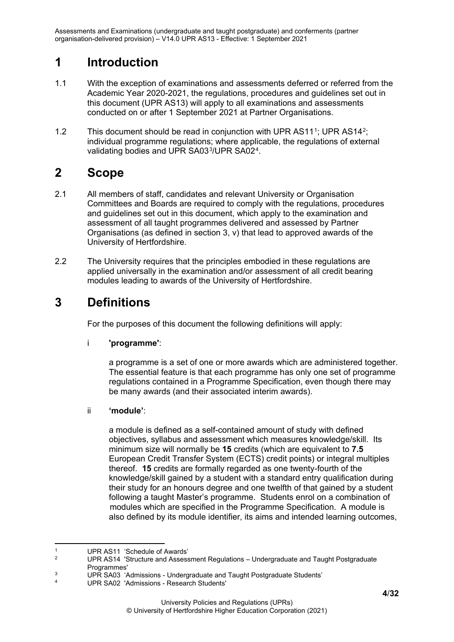## <span id="page-3-0"></span>**1 Introduction**

- 1.1 With the exception of examinations and assessments deferred or referred from the Academic Year 2020-2021, the regulations, procedures and guidelines set out in this document (UPR AS13) will apply to all examinations and assessments conducted on or after 1 September 2021 at Partner Organisations.
- [1](#page-3-3).2 This document should be read in conjunction with UPR AS11<sup>1</sup>; UPR AS14<sup>2</sup>; individual programme regulations; where applicable, the regulations of external validating bodies and UPR SA03[3/](#page-3-5)UPR SA02[4](#page-3-6).

## <span id="page-3-1"></span>**2 Scope**

- 2.1 All members of staff, candidates and relevant University or Organisation Committees and Boards are required to comply with the regulations, procedures and guidelines set out in this document, which apply to the examination and assessment of all taught programmes delivered and assessed by Partner Organisations (as defined in section 3, v) that lead to approved awards of the University of Hertfordshire.
- 2.2 The University requires that the principles embodied in these regulations are applied universally in the examination and/or assessment of all credit bearing modules leading to awards of the University of Hertfordshire.

## <span id="page-3-2"></span>**3 Definitions**

For the purposes of this document the following definitions will apply:

## i **'programme'**:

a programme is a set of one or more awards which are administered together. The essential feature is that each programme has only one set of programme regulations contained in a Programme Specification, even though there may be many awards (and their associated interim awards).

## ii **'module'**:

a module is defined as a self-contained amount of study with defined objectives, syllabus and assessment which measures knowledge/skill. Its minimum size will normally be **15** credits (which are equivalent to **7.5** European Credit Transfer System (ECTS) credit points) or integral multiples thereof. **15** credits are formally regarded as one twenty-fourth of the knowledge/skill gained by a student with a standard entry qualification during their study for an honours degree and one twelfth of that gained by a student following a taught Master's programme. Students enrol on a combination of modules which are specified in the Programme Specification. A module is also defined by its module identifier, its aims and intended learning outcomes,

<span id="page-3-3"></span><sup>&</sup>lt;sup>1</sup> UPR AS11 'Schedule of Awards'

<span id="page-3-4"></span>UPR AS14 'Structure and Assessment Regulations - Undergraduate and Taught Postgraduate Programmes'

<span id="page-3-5"></span><sup>&</sup>lt;sup>3</sup> UPR SA03 'Admissions - Undergraduate and Taught Postgraduate Students'

<span id="page-3-6"></span>UPR SA02 'Admissions - Research Students'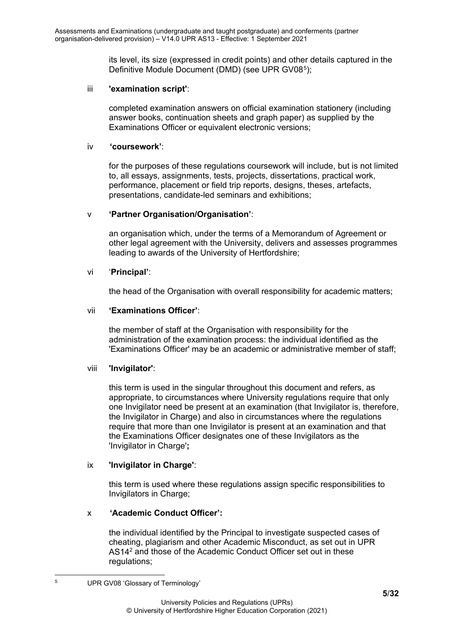its level, its size (expressed in credit points) and other details captured in the Definitive Module Document (DMD) (see UPR GV08<sup>[5](#page-4-0)</sup>);

#### iii **'examination script'**:

completed examination answers on official examination stationery (including answer books, continuation sheets and graph paper) as supplied by the Examinations Officer or equivalent electronic versions;

#### iv **'coursework'**:

for the purposes of these regulations coursework will include, but is not limited to, all essays, assignments, tests, projects, dissertations, practical work, performance, placement or field trip reports, designs, theses, artefacts, presentations, candidate-led seminars and exhibitions;

#### v **'Partner Organisation/Organisation'**:

an organisation which, under the terms of a Memorandum of Agreement or other legal agreement with the University, delivers and assesses programmes leading to awards of the University of Hertfordshire;

#### vi '**Principal'**:

the head of the Organisation with overall responsibility for academic matters;

#### vii **'Examinations Officer'**:

the member of staff at the Organisation with responsibility for the administration of the examination process: the individual identified as the 'Examinations Officer' may be an academic or administrative member of staff;

#### viii **'Invigilator'**:

this term is used in the singular throughout this document and refers, as appropriate, to circumstances where University regulations require that only one Invigilator need be present at an examination (that Invigilator is, therefore, the Invigilator in Charge) and also in circumstances where the regulations require that more than one Invigilator is present at an examination and that the Examinations Officer designates one of these Invigilators as the 'Invigilator in Charge'**;**

#### ix **'Invigilator in Charge'**:

this term is used where these regulations assign specific responsibilities to Invigilators in Charge;

#### x **'Academic Conduct Officer':**

the individual identified by the Principal to investigate suspected cases of cheating, plagiarism and other Academic Misconduct, as set out in UPR AS142 and those of the Academic Conduct Officer set out in these regulations;

<span id="page-4-0"></span>

<sup>5</sup> UPR GV08 'Glossary of Terminology'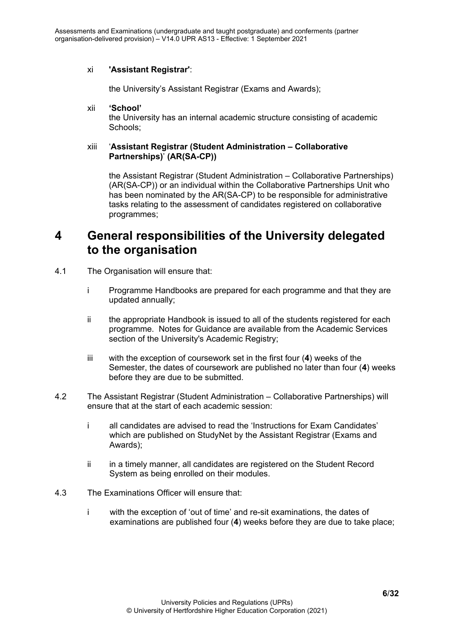### xi **'Assistant Registrar'**:

the University's Assistant Registrar (Exams and Awards);

#### xii **'School'**

the University has an internal academic structure consisting of academic Schools;

#### xiii '**Assistant Registrar (Student Administration – Collaborative Partnerships)**' **(AR(SA-CP))**

the Assistant Registrar (Student Administration – Collaborative Partnerships) (AR(SA-CP)) or an individual within the Collaborative Partnerships Unit who has been nominated by the AR(SA-CP) to be responsible for administrative tasks relating to the assessment of candidates registered on collaborative programmes;

## <span id="page-5-0"></span>**4 General responsibilities of the University delegated to the organisation**

- 4.1 The Organisation will ensure that:
	- i Programme Handbooks are prepared for each programme and that they are updated annually;
	- ii the appropriate Handbook is issued to all of the students registered for each programme. Notes for Guidance are available from the Academic Services section of the University's Academic Registry;
	- iii with the exception of coursework set in the first four (**4**) weeks of the Semester, the dates of coursework are published no later than four (**4**) weeks before they are due to be submitted.
- 4.2 The Assistant Registrar (Student Administration Collaborative Partnerships) will ensure that at the start of each academic session:
	- i all candidates are advised to read the 'Instructions for Exam Candidates' which are published on StudyNet by the Assistant Registrar (Exams and Awards);
	- ii in a timely manner, all candidates are registered on the Student Record System as being enrolled on their modules.
- 4.3 The Examinations Officer will ensure that:
	- i with the exception of 'out of time' and re-sit examinations, the dates of examinations are published four (**4**) weeks before they are due to take place;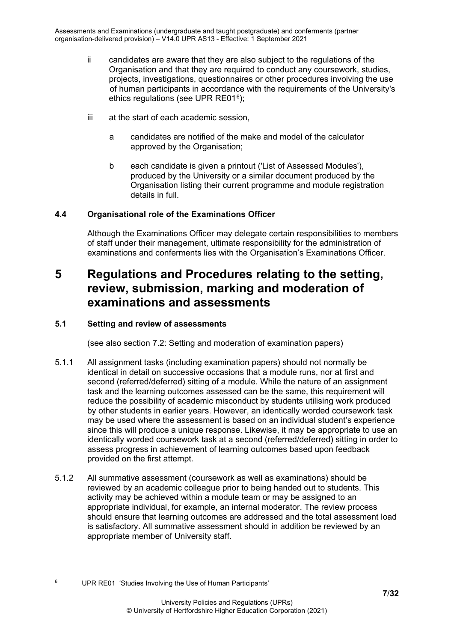- ii candidates are aware that they are also subject to the regulations of the Organisation and that they are required to conduct any coursework, studies, projects, investigations, questionnaires or other procedures involving the use of human participants in accordance with the requirements of the University's ethics regulations (see UPR RE01 $6$ );
- iii at the start of each academic session,
	- a candidates are notified of the make and model of the calculator approved by the Organisation;
	- b each candidate is given a printout ('List of Assessed Modules'), produced by the University or a similar document produced by the Organisation listing their current programme and module registration details in full.

## <span id="page-6-0"></span>**4.4 Organisational role of the Examinations Officer**

Although the Examinations Officer may delegate certain responsibilities to members of staff under their management, ultimate responsibility for the administration of examinations and conferments lies with the Organisation's Examinations Officer.

## <span id="page-6-1"></span>**5 Regulations and Procedures relating to the setting, review, submission, marking and moderation of examinations and assessments**

## <span id="page-6-2"></span>**5.1 Setting and review of assessments**

(see also section 7.2: Setting and moderation of examination papers)

- 5.1.1 All assignment tasks (including examination papers) should not normally be identical in detail on successive occasions that a module runs, nor at first and second (referred/deferred) sitting of a module. While the nature of an assignment task and the learning outcomes assessed can be the same, this requirement will reduce the possibility of academic misconduct by students utilising work produced by other students in earlier years. However, an identically worded coursework task may be used where the assessment is based on an individual student's experience since this will produce a unique response. Likewise, it may be appropriate to use an identically worded coursework task at a second (referred/deferred) sitting in order to assess progress in achievement of learning outcomes based upon feedback provided on the first attempt.
- 5.1.2 All summative assessment (coursework as well as examinations) should be reviewed by an academic colleague prior to being handed out to students. This activity may be achieved within a module team or may be assigned to an appropriate individual, for example, an internal moderator. The review process should ensure that learning outcomes are addressed and the total assessment load is satisfactory. All summative assessment should in addition be reviewed by an appropriate member of University staff.

<span id="page-6-3"></span><sup>6</sup> UPR RE01 'Studies Involving the Use of Human Participants'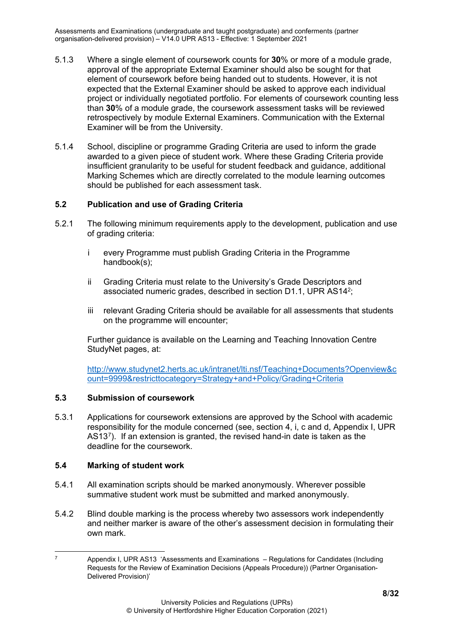- 5.1.3 Where a single element of coursework counts for **30**% or more of a module grade, approval of the appropriate External Examiner should also be sought for that element of coursework before being handed out to students. However, it is not expected that the External Examiner should be asked to approve each individual project or individually negotiated portfolio. For elements of coursework counting less than **30**% of a module grade, the coursework assessment tasks will be reviewed retrospectively by module External Examiners. Communication with the External Examiner will be from the University.
- 5.1.4 School, discipline or programme Grading Criteria are used to inform the grade awarded to a given piece of student work. Where these Grading Criteria provide insufficient granularity to be useful for student feedback and guidance, additional Marking Schemes which are directly correlated to the module learning outcomes should be published for each assessment task.

#### <span id="page-7-0"></span>**5.2 Publication and use of Grading Criteria**

- 5.2.1 The following minimum requirements apply to the development, publication and use of grading criteria:
	- i every Programme must publish Grading Criteria in the Programme handbook(s);
	- ii Grading Criteria must relate to the University's Grade Descriptors and associated numeric grades, described in section D1.1, UPR AS142;
	- iii relevant Grading Criteria should be available for all assessments that students on the programme will encounter;

Further guidance is available on the Learning and Teaching Innovation Centre StudyNet pages, at:

[http://www.studynet2.herts.ac.uk/intranet/lti.nsf/Teaching+Documents?Openview&c](http://www.studynet2.herts.ac.uk/intranet/lti.nsf/Teaching+Documents?Openview&count=9999&restricttocategory=Strategy+and+Policy/Grading+Criteria) [ount=9999&restricttocategory=Strategy+and+Policy/Grading+Criteria](http://www.studynet2.herts.ac.uk/intranet/lti.nsf/Teaching+Documents?Openview&count=9999&restricttocategory=Strategy+and+Policy/Grading+Criteria)

#### <span id="page-7-1"></span>**5.3 Submission of coursework**

5.3.1 Applications for coursework extensions are approved by the School with academic responsibility for the module concerned (see, section 4, i, c and d, Appendix I, UPR AS13[7\)](#page-7-3). If an extension is granted, the revised hand-in date is taken as the deadline for the coursework.

#### <span id="page-7-2"></span>**5.4 Marking of student work**

- 5.4.1 All examination scripts should be marked anonymously. Wherever possible summative student work must be submitted and marked anonymously.
- 5.4.2 Blind double marking is the process whereby two assessors work independently and neither marker is aware of the other's assessment decision in formulating their own mark.

<span id="page-7-3"></span> $7$  Appendix I, UPR AS13 'Assessments and Examinations – Regulations for Candidates (Including Requests for the Review of Examination Decisions (Appeals Procedure)) (Partner Organisation-Delivered Provision)'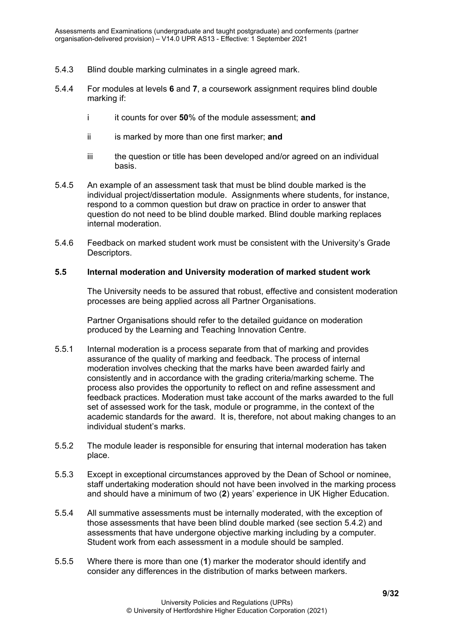- 5.4.3 Blind double marking culminates in a single agreed mark.
- 5.4.4 For modules at levels **6** and **7**, a coursework assignment requires blind double marking if:
	- i it counts for over **50**% of the module assessment; **and**
	- ii is marked by more than one first marker; **and**
	- iii the question or title has been developed and/or agreed on an individual basis.
- 5.4.5 An example of an assessment task that must be blind double marked is the individual project/dissertation module. Assignments where students, for instance, respond to a common question but draw on practice in order to answer that question do not need to be blind double marked. Blind double marking replaces internal moderation.
- 5.4.6 Feedback on marked student work must be consistent with the University's Grade Descriptors.

#### <span id="page-8-0"></span>**5.5 Internal moderation and University moderation of marked student work**

The University needs to be assured that robust, effective and consistent moderation processes are being applied across all Partner Organisations.

Partner Organisations should refer to the detailed guidance on moderation produced by the Learning and Teaching Innovation Centre.

- 5.5.1 Internal moderation is a process separate from that of marking and provides assurance of the quality of marking and feedback. The process of internal moderation involves checking that the marks have been awarded fairly and consistently and in accordance with the grading criteria/marking scheme. The process also provides the opportunity to reflect on and refine assessment and feedback practices. Moderation must take account of the marks awarded to the full set of assessed work for the task, module or programme, in the context of the academic standards for the award. It is, therefore, not about making changes to an individual student's marks.
- 5.5.2 The module leader is responsible for ensuring that internal moderation has taken place.
- 5.5.3 Except in exceptional circumstances approved by the Dean of School or nominee, staff undertaking moderation should not have been involved in the marking process and should have a minimum of two (**2**) years' experience in UK Higher Education.
- 5.5.4 All summative assessments must be internally moderated, with the exception of those assessments that have been blind double marked (see section 5.4.2) and assessments that have undergone objective marking including by a computer. Student work from each assessment in a module should be sampled.
- 5.5.5 Where there is more than one (**1**) marker the moderator should identify and consider any differences in the distribution of marks between markers.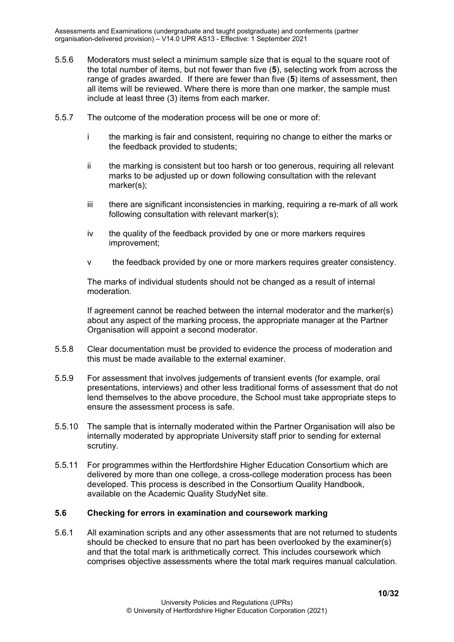- 5.5.6 Moderators must select a minimum sample size that is equal to the square root of the total number of items, but not fewer than five (**5**), selecting work from across the range of grades awarded. If there are fewer than five (**5**) items of assessment, then all items will be reviewed. Where there is more than one marker, the sample must include at least three (3) items from each marker.
- 5.5.7 The outcome of the moderation process will be one or more of:
	- i the marking is fair and consistent, requiring no change to either the marks or the feedback provided to students;
	- ii the marking is consistent but too harsh or too generous, requiring all relevant marks to be adjusted up or down following consultation with the relevant marker(s);
	- iii there are significant inconsistencies in marking, requiring a re-mark of all work following consultation with relevant marker(s);
	- iv the quality of the feedback provided by one or more markers requires improvement;
	- v the feedback provided by one or more markers requires greater consistency.

The marks of individual students should not be changed as a result of internal moderation.

If agreement cannot be reached between the internal moderator and the marker(s) about any aspect of the marking process, the appropriate manager at the Partner Organisation will appoint a second moderator.

- 5.5.8 Clear documentation must be provided to evidence the process of moderation and this must be made available to the external examiner.
- 5.5.9 For assessment that involves judgements of transient events (for example, oral presentations, interviews) and other less traditional forms of assessment that do not lend themselves to the above procedure, the School must take appropriate steps to ensure the assessment process is safe.
- 5.5.10 The sample that is internally moderated within the Partner Organisation will also be internally moderated by appropriate University staff prior to sending for external scrutiny.
- 5.5.11 For programmes within the Hertfordshire Higher Education Consortium which are delivered by more than one college, a cross-college moderation process has been developed. This process is described in the Consortium Quality Handbook, available on the Academic Quality StudyNet site.

#### <span id="page-9-0"></span>**5.6 Checking for errors in examination and coursework marking**

5.6.1 All examination scripts and any other assessments that are not returned to students should be checked to ensure that no part has been overlooked by the examiner(s) and that the total mark is arithmetically correct. This includes coursework which comprises objective assessments where the total mark requires manual calculation.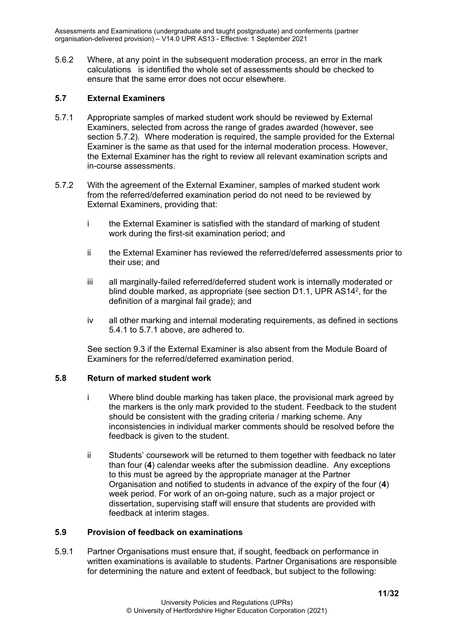5.6.2 Where, at any point in the subsequent moderation process, an error in the mark calculations is identified the whole set of assessments should be checked to ensure that the same error does not occur elsewhere.

#### <span id="page-10-0"></span>**5.7 External Examiners**

- 5.7.1 Appropriate samples of marked student work should be reviewed by External Examiners, selected from across the range of grades awarded (however, see section 5.7.2). Where moderation is required, the sample provided for the External Examiner is the same as that used for the internal moderation process. However, the External Examiner has the right to review all relevant examination scripts and in-course assessments.
- 5.7.2 With the agreement of the External Examiner, samples of marked student work from the referred/deferred examination period do not need to be reviewed by External Examiners, providing that:
	- i the External Examiner is satisfied with the standard of marking of student work during the first-sit examination period; and
	- ii the External Examiner has reviewed the referred/deferred assessments prior to their use; and
	- iii all marginally-failed referred/deferred student work is internally moderated or blind double marked, as appropriate (see section D1.1, UPR AS142, for the definition of a marginal fail grade); and
	- iv all other marking and internal moderating requirements, as defined in sections 5.4.1 to 5.7.1 above, are adhered to.

See section 9.3 if the External Examiner is also absent from the Module Board of Examiners for the referred/deferred examination period.

#### <span id="page-10-1"></span>**5.8 Return of marked student work**

- i Where blind double marking has taken place, the provisional mark agreed by the markers is the only mark provided to the student. Feedback to the student should be consistent with the grading criteria / marking scheme. Any inconsistencies in individual marker comments should be resolved before the feedback is given to the student.
- ii Students' coursework will be returned to them together with feedback no later than four (**4**) calendar weeks after the submission deadline. Any exceptions to this must be agreed by the appropriate manager at the Partner Organisation and notified to students in advance of the expiry of the four (**4**) week period. For work of an on-going nature, such as a major project or dissertation, supervising staff will ensure that students are provided with feedback at interim stages.

#### <span id="page-10-2"></span>**5.9 Provision of feedback on examinations**

5.9.1 Partner Organisations must ensure that, if sought, feedback on performance in written examinations is available to students. Partner Organisations are responsible for determining the nature and extent of feedback, but subject to the following: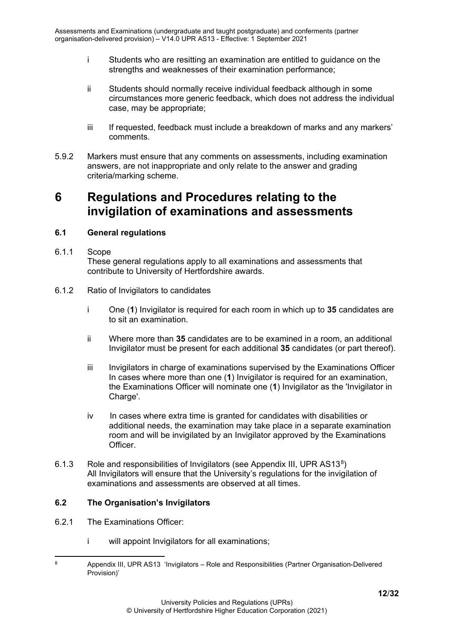- i Students who are resitting an examination are entitled to guidance on the strengths and weaknesses of their examination performance;
- ii Students should normally receive individual feedback although in some circumstances more generic feedback, which does not address the individual case, may be appropriate;
- iii If requested, feedback must include a breakdown of marks and any markers' comments.
- 5.9.2 Markers must ensure that any comments on assessments, including examination answers, are not inappropriate and only relate to the answer and grading criteria/marking scheme.

## <span id="page-11-0"></span>**6 Regulations and Procedures relating to the invigilation of examinations and assessments**

## <span id="page-11-2"></span><span id="page-11-1"></span>**6.1 General regulations**

- 6.1.1 Scope These general regulations apply to all examinations and assessments that contribute to University of Hertfordshire awards.
- <span id="page-11-3"></span>6.1.2 Ratio of Invigilators to candidates
	- i One (**1**) Invigilator is required for each room in which up to **35** candidates are to sit an examination.
	- ii Where more than **35** candidates are to be examined in a room, an additional Invigilator must be present for each additional **35** candidates (or part thereof).
	- iii Invigilators in charge of examinations supervised by the Examinations Officer In cases where more than one (**1**) Invigilator is required for an examination, the Examinations Officer will nominate one (**1**) Invigilator as the 'Invigilator in Charge'.
	- iv In cases where extra time is granted for candidates with disabilities or additional needs, the examination may take place in a separate examination room and will be invigilated by an Invigilator approved by the Examinations Officer.
- <span id="page-11-4"></span>6.1.3 Role and responsibilities of Invigilators (see Appendix III, UPR AS13[8\)](#page-11-6) All Invigilators will ensure that the University's regulations for the invigilation of examinations and assessments are observed at all times.

#### <span id="page-11-5"></span>**6.2 The Organisation's Invigilators**

- 6.2.1 The Examinations Officer:
	- i will appoint Invigilators for all examinations;

<span id="page-11-6"></span><sup>8</sup> Appendix III, UPR AS13 'Invigilators – Role and Responsibilities (Partner Organisation-Delivered Provision)'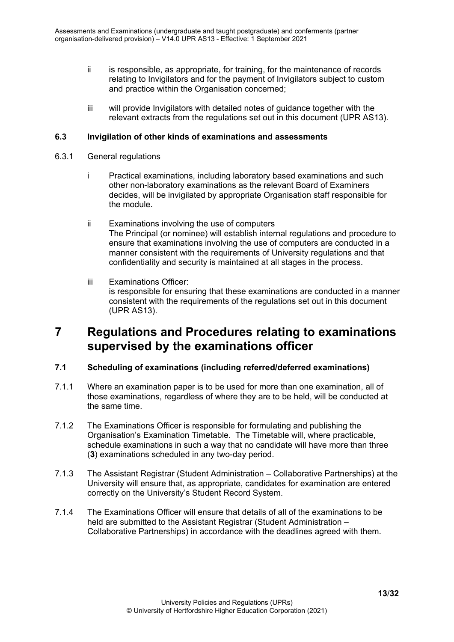- ii is responsible, as appropriate, for training, for the maintenance of records relating to Invigilators and for the payment of Invigilators subject to custom and practice within the Organisation concerned;
- iii will provide Invigilators with detailed notes of guidance together with the relevant extracts from the regulations set out in this document (UPR AS13).

#### <span id="page-12-1"></span><span id="page-12-0"></span>**6.3 Invigilation of other kinds of examinations and assessments**

- 6.3.1 General regulations
	- i Practical examinations, including laboratory based examinations and such other non-laboratory examinations as the relevant Board of Examiners decides, will be invigilated by appropriate Organisation staff responsible for the module.
	- ii Examinations involving the use of computers The Principal (or nominee) will establish internal regulations and procedure to ensure that examinations involving the use of computers are conducted in a manner consistent with the requirements of University regulations and that confidentiality and security is maintained at all stages in the process.
	- iii Examinations Officer: is responsible for ensuring that these examinations are conducted in a manner consistent with the requirements of the regulations set out in this document (UPR AS13).

## <span id="page-12-2"></span>**7 Regulations and Procedures relating to examinations supervised by the examinations officer**

### <span id="page-12-3"></span>**7.1 Scheduling of examinations (including referred/deferred examinations)**

- 7.1.1 Where an examination paper is to be used for more than one examination, all of those examinations, regardless of where they are to be held, will be conducted at the same time.
- 7.1.2 The Examinations Officer is responsible for formulating and publishing the Organisation's Examination Timetable. The Timetable will, where practicable, schedule examinations in such a way that no candidate will have more than three (**3**) examinations scheduled in any two-day period.
- 7.1.3 The Assistant Registrar (Student Administration Collaborative Partnerships) at the University will ensure that, as appropriate, candidates for examination are entered correctly on the University's Student Record System.
- <span id="page-12-4"></span>7.1.4 The Examinations Officer will ensure that details of all of the examinations to be held are submitted to the Assistant Registrar (Student Administration – Collaborative Partnerships) in accordance with the deadlines agreed with them.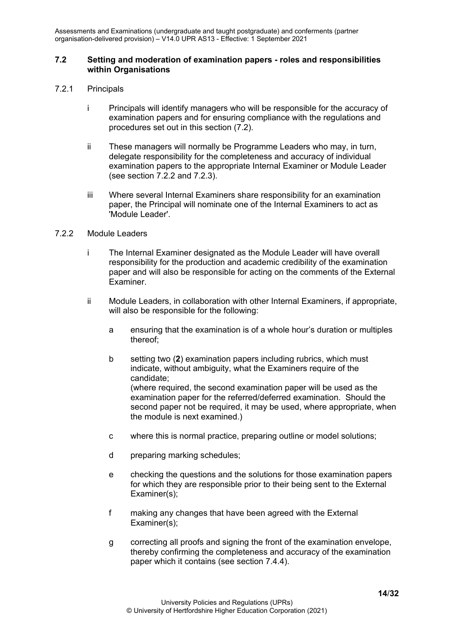#### **7.2 Setting and moderation of examination papers - roles and responsibilities within Organisations**

- <span id="page-13-0"></span>7.2.1 Principals
	- i Principals will identify managers who will be responsible for the accuracy of examination papers and for ensuring compliance with the regulations and procedures set out in this section (7.2).
	- ii These managers will normally be Programme Leaders who may, in turn, delegate responsibility for the completeness and accuracy of individual examination papers to the appropriate Internal Examiner or Module Leader (see section 7.2.2 and 7.2.3).
	- iii Where several Internal Examiners share responsibility for an examination paper, the Principal will nominate one of the Internal Examiners to act as 'Module Leader'.

#### <span id="page-13-1"></span>7.2.2 Module Leaders

- i The Internal Examiner designated as the Module Leader will have overall responsibility for the production and academic credibility of the examination paper and will also be responsible for acting on the comments of the External Examiner.
- <span id="page-13-2"></span>ii Module Leaders, in collaboration with other Internal Examiners, if appropriate, will also be responsible for the following:
	- a ensuring that the examination is of a whole hour's duration or multiples thereof;
	- b setting two (**2**) examination papers including rubrics, which must indicate, without ambiguity, what the Examiners require of the candidate; (where required, the second examination paper will be used as the examination paper for the referred/deferred examination. Should the second paper not be required, it may be used, where appropriate, when the module is next examined.)
	- c where this is normal practice, preparing outline or model solutions;
	- d preparing marking schedules;
	- e checking the questions and the solutions for those examination papers for which they are responsible prior to their being sent to the External Examiner(s);
	- f making any changes that have been agreed with the External Examiner(s);
	- g correcting all proofs and signing the front of the examination envelope, thereby confirming the completeness and accuracy of the examination paper which it contains (see section 7.4.4).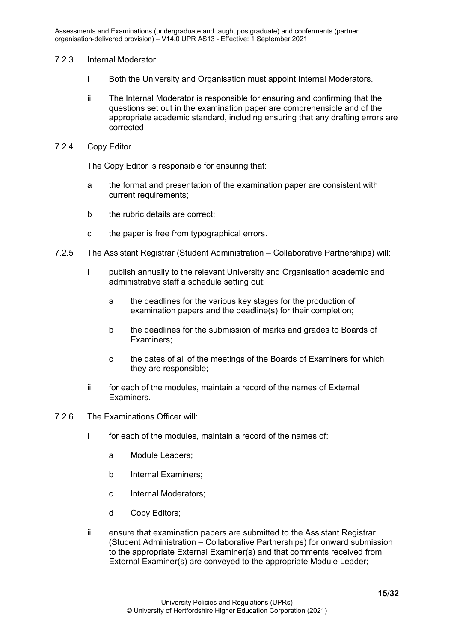#### 7.2.3 Internal Moderator

- i Both the University and Organisation must appoint Internal Moderators.
- ii The Internal Moderator is responsible for ensuring and confirming that the questions set out in the examination paper are comprehensible and of the appropriate academic standard, including ensuring that any drafting errors are corrected.

#### <span id="page-14-0"></span>7.2.4 Copy Editor

The Copy Editor is responsible for ensuring that:

- a the format and presentation of the examination paper are consistent with current requirements;
- b the rubric details are correct;
- c the paper is free from typographical errors.
- 7.2.5 The Assistant Registrar (Student Administration Collaborative Partnerships) will:
	- i publish annually to the relevant University and Organisation academic and administrative staff a schedule setting out:
		- a the deadlines for the various key stages for the production of examination papers and the deadline(s) for their completion;
		- b the deadlines for the submission of marks and grades to Boards of Examiners;
		- c the dates of all of the meetings of the Boards of Examiners for which they are responsible;
	- ii for each of the modules, maintain a record of the names of External Examiners.
- 7.2.6 The Examinations Officer will:
	- i for each of the modules, maintain a record of the names of:
		- a Module Leaders;
		- b Internal Examiners;
		- c Internal Moderators;
		- d Copy Editors;
	- ii ensure that examination papers are submitted to the Assistant Registrar (Student Administration – Collaborative Partnerships) for onward submission to the appropriate External Examiner(s) and that comments received from External Examiner(s) are conveyed to the appropriate Module Leader;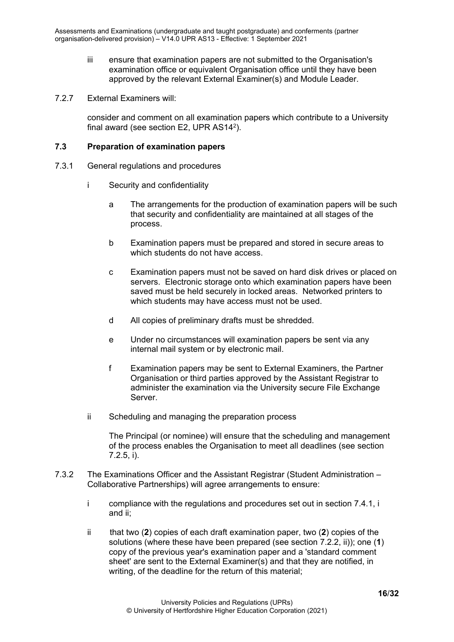- iii ensure that examination papers are not submitted to the Organisation's examination office or equivalent Organisation office until they have been approved by the relevant External Examiner(s) and Module Leader.
- 7.2.7 External Examiners will:

consider and comment on all examination papers which contribute to a University final award (see section E2, UPR AS142).

#### <span id="page-15-1"></span><span id="page-15-0"></span>**7.3 Preparation of examination papers**

- 7.3.1 General regulations and procedures
	- i Security and confidentiality
		- a The arrangements for the production of examination papers will be such that security and confidentiality are maintained at all stages of the process.
		- b Examination papers must be prepared and stored in secure areas to which students do not have access.
		- c Examination papers must not be saved on hard disk drives or placed on servers. Electronic storage onto which examination papers have been saved must be held securely in locked areas. Networked printers to which students may have access must not be used.
		- d All copies of preliminary drafts must be shredded.
		- e Under no circumstances will examination papers be sent via any internal mail system or by electronic mail.
		- f Examination papers may be sent to External Examiners, the Partner Organisation or third parties approved by the Assistant Registrar to administer the examination via the University secure File Exchange Server.
	- ii Scheduling and managing the preparation process

The Principal (or nominee) will ensure that the scheduling and management of the process enables the Organisation to meet all deadlines (see section 7.2.5, i).

- 7.3.2 The Examinations Officer and the Assistant Registrar (Student Administration Collaborative Partnerships) will agree arrangements to ensure:
	- i compliance with the regulations and procedures set out in section 7.4.1, i and ii;
	- ii that two (**2**) copies of each draft examination paper, two (**2**) copies of the solutions (where these have been prepared (see section 7.2.2, ii)); one (**1**) copy of the previous year's examination paper and a 'standard comment sheet' are sent to the External Examiner(s) and that they are notified, in writing, of the deadline for the return of this material;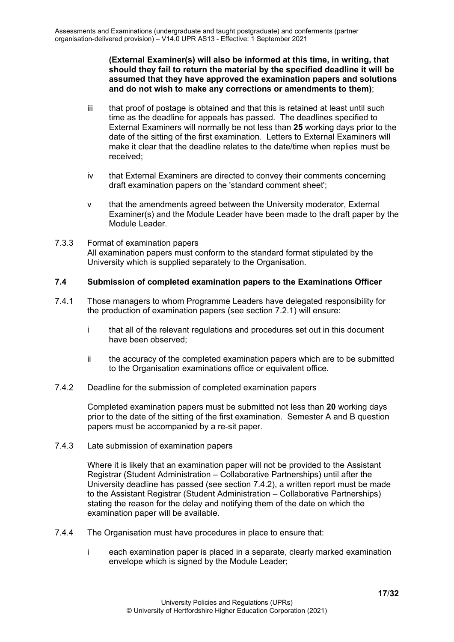**(External Examiner(s) will also be informed at this time, in writing, that should they fail to return the material by the specified deadline it will be assumed that they have approved the examination papers and solutions and do not wish to make any corrections or amendments to them)**;

- iii that proof of postage is obtained and that this is retained at least until such time as the deadline for appeals has passed. The deadlines specified to External Examiners will normally be not less than **25** working days prior to the date of the sitting of the first examination. Letters to External Examiners will make it clear that the deadline relates to the date/time when replies must be received;
- iv that External Examiners are directed to convey their comments concerning draft examination papers on the 'standard comment sheet';
- v that the amendments agreed between the University moderator, External Examiner(s) and the Module Leader have been made to the draft paper by the Module Leader.
- <span id="page-16-0"></span>7.3.3 Format of examination papers All examination papers must conform to the standard format stipulated by the University which is supplied separately to the Organisation.

#### <span id="page-16-1"></span>**7.4 Submission of completed examination papers to the Examinations Officer**

- 7.4.1 Those managers to whom Programme Leaders have delegated responsibility for the production of examination papers (see section 7.2.1) will ensure:
	- i that all of the relevant regulations and procedures set out in this document have been observed;
	- ii the accuracy of the completed examination papers which are to be submitted to the Organisation examinations office or equivalent office.
- <span id="page-16-2"></span>7.4.2 Deadline for the submission of completed examination papers

Completed examination papers must be submitted not less than **20** working days prior to the date of the sitting of the first examination. Semester A and B question papers must be accompanied by a re-sit paper.

<span id="page-16-3"></span>7.4.3 Late submission of examination papers

Where it is likely that an examination paper will not be provided to the Assistant Registrar (Student Administration – Collaborative Partnerships) until after the University deadline has passed (see section 7.4.2), a written report must be made to the Assistant Registrar (Student Administration – Collaborative Partnerships) stating the reason for the delay and notifying them of the date on which the examination paper will be available.

- 7.4.4 The Organisation must have procedures in place to ensure that:
	- i each examination paper is placed in a separate, clearly marked examination envelope which is signed by the Module Leader;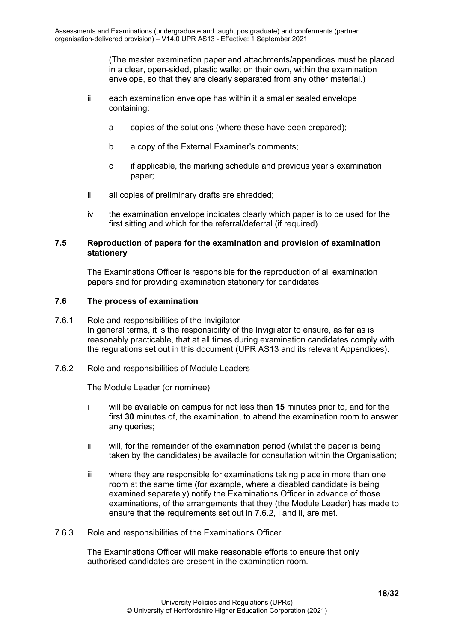(The master examination paper and attachments/appendices must be placed in a clear, open-sided, plastic wallet on their own, within the examination envelope, so that they are clearly separated from any other material.)

- ii each examination envelope has within it a smaller sealed envelope containing:
	- a copies of the solutions (where these have been prepared);
	- b a copy of the External Examiner's comments;
	- c if applicable, the marking schedule and previous year's examination paper;
- iii all copies of preliminary drafts are shredded;
- iv the examination envelope indicates clearly which paper is to be used for the first sitting and which for the referral/deferral (if required).

#### <span id="page-17-0"></span>**7.5 Reproduction of papers for the examination and provision of examination stationery**

The Examinations Officer is responsible for the reproduction of all examination papers and for providing examination stationery for candidates.

#### <span id="page-17-2"></span><span id="page-17-1"></span>**7.6 The process of examination**

- 7.6.1 Role and responsibilities of the Invigilator In general terms, it is the responsibility of the Invigilator to ensure, as far as is reasonably practicable, that at all times during examination candidates comply with the regulations set out in this document (UPR AS13 and its relevant Appendices).
- <span id="page-17-3"></span>7.6.2 Role and responsibilities of Module Leaders

The Module Leader (or nominee):

- i will be available on campus for not less than **15** minutes prior to, and for the first **30** minutes of, the examination, to attend the examination room to answer any queries;
- ii will, for the remainder of the examination period (whilst the paper is being taken by the candidates) be available for consultation within the Organisation;
- iii where they are responsible for examinations taking place in more than one room at the same time (for example, where a disabled candidate is being examined separately) notify the Examinations Officer in advance of those examinations, of the arrangements that they (the Module Leader) has made to ensure that the requirements set out in 7.6.2, i and ii, are met.
- <span id="page-17-5"></span><span id="page-17-4"></span>7.6.3 Role and responsibilities of the Examinations Officer

The Examinations Officer will make reasonable efforts to ensure that only authorised candidates are present in the examination room.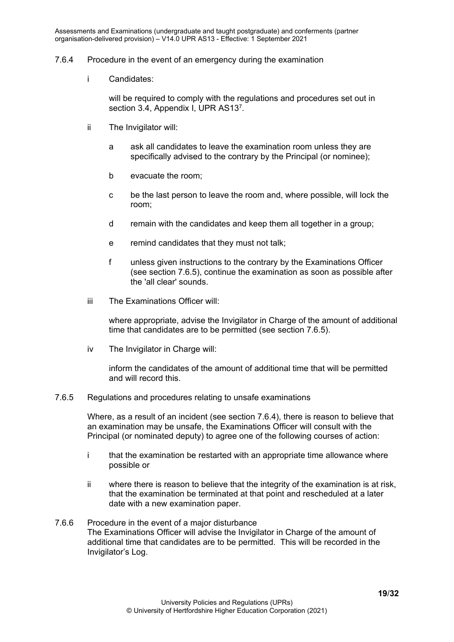#### 7.6.4 Procedure in the event of an emergency during the examination

i Candidates:

will be required to comply with the requlations and procedures set out in section 3.4, Appendix I, UPR AS137.

- ii The Invigilator will:
	- a ask all candidates to leave the examination room unless they are specifically advised to the contrary by the Principal (or nominee);
	- b evacuate the room;
	- c be the last person to leave the room and, where possible, will lock the room;
	- d remain with the candidates and keep them all together in a group;
	- e remind candidates that they must not talk;
	- f unless given instructions to the contrary by the Examinations Officer (see section 7.6.5), continue the examination as soon as possible after the 'all clear' sounds.
- iii The Examinations Officer will:

where appropriate, advise the Invigilator in Charge of the amount of additional time that candidates are to be permitted (see section 7.6.5).

iv The Invigilator in Charge will:

inform the candidates of the amount of additional time that will be permitted and will record this.

#### <span id="page-18-0"></span>7.6.5 Regulations and procedures relating to unsafe examinations

Where, as a result of an incident (see section 7.6.4), there is reason to believe that an examination may be unsafe, the Examinations Officer will consult with the Principal (or nominated deputy) to agree one of the following courses of action:

- i that the examination be restarted with an appropriate time allowance where possible or
- ii where there is reason to believe that the integrity of the examination is at risk, that the examination be terminated at that point and rescheduled at a later date with a new examination paper.

#### <span id="page-18-2"></span><span id="page-18-1"></span>7.6.6 Procedure in the event of a major disturbance The Examinations Officer will advise the Invigilator in Charge of the amount of additional time that candidates are to be permitted. This will be recorded in the Invigilator's Log.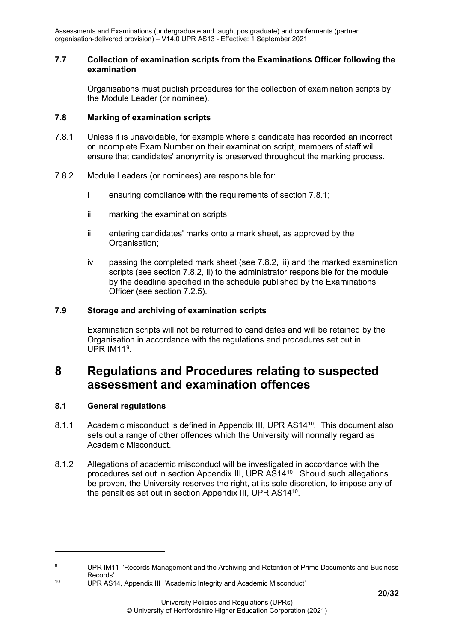#### **7.7 Collection of examination scripts from the Examinations Officer following the examination**

Organisations must publish procedures for the collection of examination scripts by the Module Leader (or nominee).

### <span id="page-19-0"></span>**7.8 Marking of examination scripts**

- 7.8.1 Unless it is unavoidable, for example where a candidate has recorded an incorrect or incomplete Exam Number on their examination script, members of staff will ensure that candidates' anonymity is preserved throughout the marking process.
- 7.8.2 Module Leaders (or nominees) are responsible for:
	- i ensuring compliance with the requirements of section 7.8.1;
	- ii marking the examination scripts;
	- iii entering candidates' marks onto a mark sheet, as approved by the Organisation:
	- iv passing the completed mark sheet (see 7.8.2, iii) and the marked examination scripts (see section 7.8.2, ii) to the administrator responsible for the module by the deadline specified in the schedule published by the Examinations Officer (see section 7.2.5).

## <span id="page-19-1"></span>**7.9 Storage and archiving of examination scripts**

Examination scripts will not be returned to candidates and will be retained by the Organisation in accordance with the regulations and procedures set out in UPR IM11<sup>9</sup>.

## <span id="page-19-2"></span>**8 Regulations and Procedures relating to suspected assessment and examination offences**

#### <span id="page-19-3"></span>**8.1 General regulations**

- 8.1.1 Academic misconduct is defined in Appendix III, UPR AS1410. This document also sets out a range of other offences which the University will normally regard as Academic Misconduct.
- <span id="page-19-4"></span>8.1.2 Allegations of academic misconduct will be investigated in accordance with the procedures set out in section Appendix III, UPR AS14[10.](#page-19-6) Should such allegations be proven, the University reserves the right, at its sole discretion, to impose any of the penalties set out in section Appendix III, UPR AS1410.

<span id="page-19-5"></span><sup>9</sup> UPR IM11 'Records Management and the Archiving and Retention of Prime Documents and Business Records'

<span id="page-19-6"></span><sup>10</sup> UPR AS14, Appendix III 'Academic Integrity and Academic Misconduct'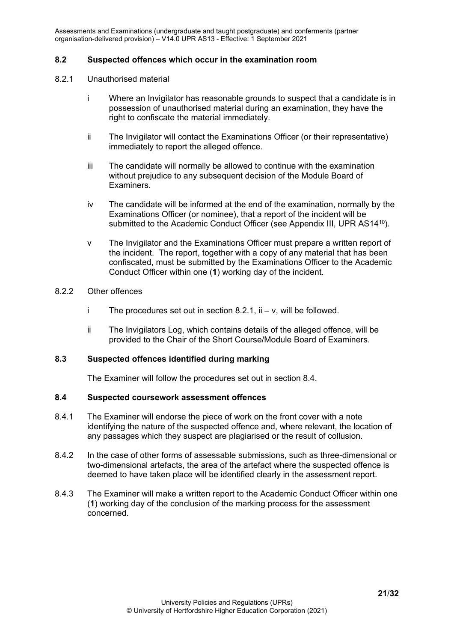#### <span id="page-20-0"></span>**8.2 Suspected offences which occur in the examination room**

#### 8.2.1 Unauthorised material

- i Where an Invigilator has reasonable grounds to suspect that a candidate is in possession of unauthorised material during an examination, they have the right to confiscate the material immediately.
- ii The Invigilator will contact the Examinations Officer (or their representative) immediately to report the alleged offence.
- iii The candidate will normally be allowed to continue with the examination without prejudice to any subsequent decision of the Module Board of Examiners.
- iv The candidate will be informed at the end of the examination, normally by the Examinations Officer (or nominee), that a report of the incident will be submitted to the Academic Conduct Officer (see Appendix III, UPR AS14<sup>10</sup>).
- v The Invigilator and the Examinations Officer must prepare a written report of the incident. The report, together with a copy of any material that has been confiscated, must be submitted by the Examinations Officer to the Academic Conduct Officer within one (**1**) working day of the incident.

#### <span id="page-20-1"></span>8.2.2 Other offences

- i The procedures set out in section  $8.2.1$ , ii v, will be followed.
- ii The Invigilators Log, which contains details of the alleged offence, will be provided to the Chair of the Short Course/Module Board of Examiners.

#### <span id="page-20-2"></span>**8.3 Suspected offences identified during marking**

The Examiner will follow the procedures set out in section 8.4.

#### <span id="page-20-3"></span>**8.4 Suspected coursework assessment offences**

- 8.4.1 The Examiner will endorse the piece of work on the front cover with a note identifying the nature of the suspected offence and, where relevant, the location of any passages which they suspect are plagiarised or the result of collusion.
- 8.4.2 In the case of other forms of assessable submissions, such as three-dimensional or two-dimensional artefacts, the area of the artefact where the suspected offence is deemed to have taken place will be identified clearly in the assessment report.
- 8.4.3 The Examiner will make a written report to the Academic Conduct Officer within one (**1**) working day of the conclusion of the marking process for the assessment concerned.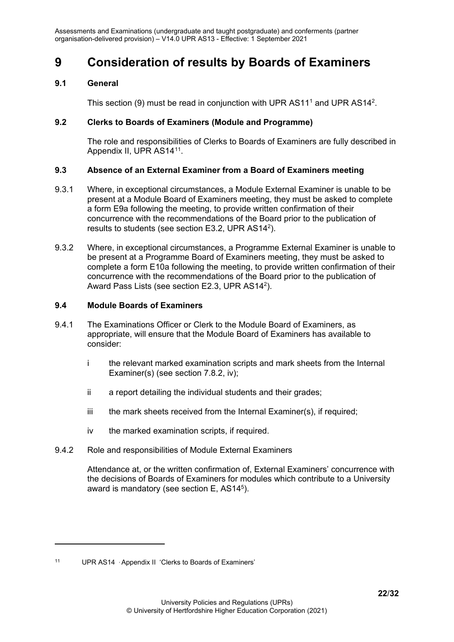## <span id="page-21-0"></span>**9 Consideration of results by Boards of Examiners**

### <span id="page-21-1"></span>**9.1 General**

This section (9) must be read in conjunction with UPR AS11<sup>1</sup> and UPR AS14<sup>2</sup>.

### <span id="page-21-2"></span>**9.2 Clerks to Boards of Examiners (Module and Programme)**

The role and responsibilities of Clerks to Boards of Examiners are fully described in Appendix II, UPR AS14<sup>[11](#page-21-7)</sup>.

### <span id="page-21-3"></span>**9.3 Absence of an External Examiner from a Board of Examiners meeting**

- 9.3.1 Where, in exceptional circumstances, a Module External Examiner is unable to be present at a Module Board of Examiners meeting, they must be asked to complete a form E9a following the meeting, to provide written confirmation of their concurrence with the recommendations of the Board prior to the publication of results to students (see section E3.2, UPR AS142).
- 9.3.2 Where, in exceptional circumstances, a Programme External Examiner is unable to be present at a Programme Board of Examiners meeting, they must be asked to complete a form E10a following the meeting, to provide written confirmation of their concurrence with the recommendations of the Board prior to the publication of Award Pass Lists (see section E2.3, UPR AS142).

## <span id="page-21-4"></span>**9.4 Module Boards of Examiners**

- 9.4.1 The Examinations Officer or Clerk to the Module Board of Examiners, as appropriate, will ensure that the Module Board of Examiners has available to consider:
	- i the relevant marked examination scripts and mark sheets from the Internal Examiner(s) (see section 7.8.2, iv);
	- ii a report detailing the individual students and their grades;
	- iii the mark sheets received from the Internal Examiner(s), if required;
	- iv the marked examination scripts, if required.
- <span id="page-21-5"></span>9.4.2 Role and responsibilities of Module External Examiners

<span id="page-21-6"></span>Attendance at, or the written confirmation of, External Examiners' concurrence with the decisions of Boards of Examiners for modules which contribute to a University award is mandatory (see section  $E$ , AS14<sup>5</sup>).

<span id="page-21-7"></span><sup>11</sup> UPR AS14 , Appendix II 'Clerks to Boards of Examiners'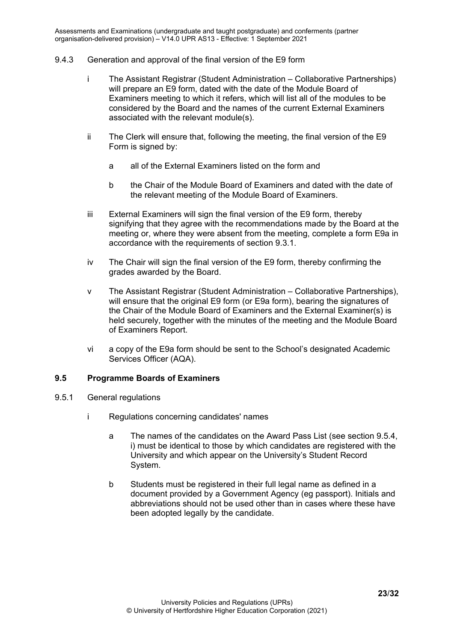#### 9.4.3 Generation and approval of the final version of the E9 form

- i The Assistant Registrar (Student Administration Collaborative Partnerships) will prepare an E9 form, dated with the date of the Module Board of Examiners meeting to which it refers, which will list all of the modules to be considered by the Board and the names of the current External Examiners associated with the relevant module(s).
- ii The Clerk will ensure that, following the meeting, the final version of the E9 Form is signed by:
	- a all of the External Examiners listed on the form and
	- b the Chair of the Module Board of Examiners and dated with the date of the relevant meeting of the Module Board of Examiners.
- iii External Examiners will sign the final version of the E9 form, thereby signifying that they agree with the recommendations made by the Board at the meeting or, where they were absent from the meeting, complete a form E9a in accordance with the requirements of section 9.3.1.
- iv The Chair will sign the final version of the E9 form, thereby confirming the grades awarded by the Board.
- v The Assistant Registrar (Student Administration Collaborative Partnerships), will ensure that the original E9 form (or E9a form), bearing the signatures of the Chair of the Module Board of Examiners and the External Examiner(s) is held securely, together with the minutes of the meeting and the Module Board of Examiners Report.
- vi a copy of the E9a form should be sent to the School's designated Academic Services Officer (AQA).

#### <span id="page-22-1"></span><span id="page-22-0"></span>**9.5 Programme Boards of Examiners**

- 9.5.1 General regulations
	- i Regulations concerning candidates' names
		- a The names of the candidates on the Award Pass List (see section 9.5.4, i) must be identical to those by which candidates are registered with the University and which appear on the University's Student Record System.
		- b Students must be registered in their full legal name as defined in a document provided by a Government Agency (eg passport). Initials and abbreviations should not be used other than in cases where these have been adopted legally by the candidate.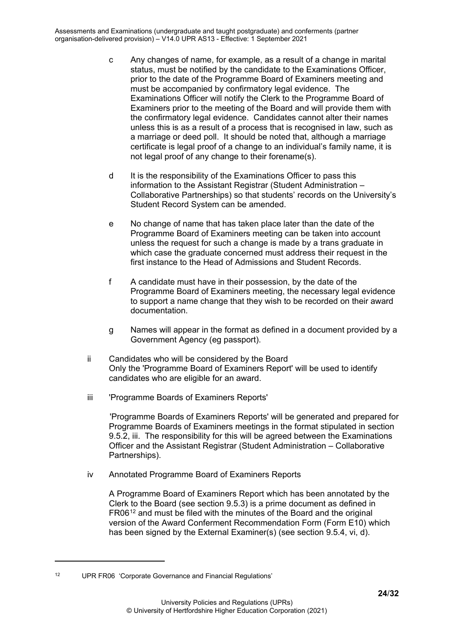- c Any changes of name, for example, as a result of a change in marital status, must be notified by the candidate to the Examinations Officer, prior to the date of the Programme Board of Examiners meeting and must be accompanied by confirmatory legal evidence. The Examinations Officer will notify the Clerk to the Programme Board of Examiners prior to the meeting of the Board and will provide them with the confirmatory legal evidence. Candidates cannot alter their names unless this is as a result of a process that is recognised in law, such as a marriage or deed poll. It should be noted that, although a marriage certificate is legal proof of a change to an individual's family name, it is not legal proof of any change to their forename(s).
- d It is the responsibility of the Examinations Officer to pass this information to the Assistant Registrar (Student Administration – Collaborative Partnerships) so that students' records on the University's Student Record System can be amended.
- e No change of name that has taken place later than the date of the Programme Board of Examiners meeting can be taken into account unless the request for such a change is made by a trans graduate in which case the graduate concerned must address their request in the first instance to the Head of Admissions and Student Records.
- f A candidate must have in their possession, by the date of the Programme Board of Examiners meeting, the necessary legal evidence to support a name change that they wish to be recorded on their award documentation.
- g Names will appear in the format as defined in a document provided by a Government Agency (eg passport).
- ii Candidates who will be considered by the Board Only the 'Programme Board of Examiners Report' will be used to identify candidates who are eligible for an award.
- iii 'Programme Boards of Examiners Reports'

'Programme Boards of Examiners Reports' will be generated and prepared for Programme Boards of Examiners meetings in the format stipulated in section 9.5.2, iii. The responsibility for this will be agreed between the Examinations Officer and the Assistant Registrar (Student Administration – Collaborative Partnerships).

iv Annotated Programme Board of Examiners Reports

A Programme Board of Examiners Report which has been annotated by the Clerk to the Board (see section 9.5.3) is a prime document as defined in FR06<sup>[12](#page-23-0)</sup> and must be filed with the minutes of the Board and the original version of the Award Conferment Recommendation Form (Form E10) which has been signed by the External Examiner(s) (see section 9.5.4, vi, d).

<span id="page-23-0"></span><sup>12</sup> UPR FR06 'Corporate Governance and Financial Regulations'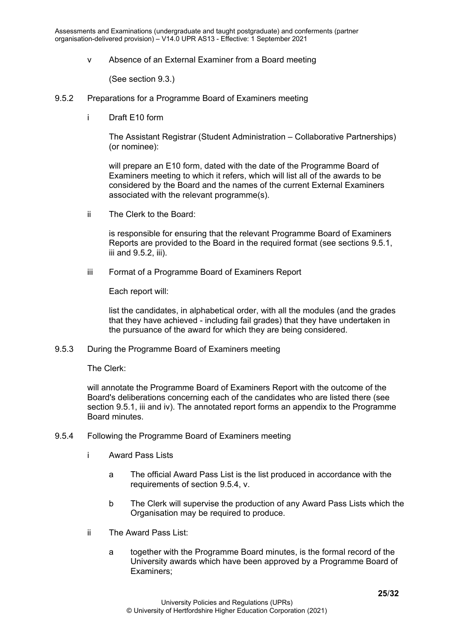v Absence of an External Examiner from a Board meeting

(See section 9.3.)

- <span id="page-24-0"></span>9.5.2 Preparations for a Programme Board of Examiners meeting
	- i Draft E10 form

The Assistant Registrar (Student Administration – Collaborative Partnerships) (or nominee):

will prepare an E10 form, dated with the date of the Programme Board of Examiners meeting to which it refers, which will list all of the awards to be considered by the Board and the names of the current External Examiners associated with the relevant programme(s).

ii The Clerk to the Board:

is responsible for ensuring that the relevant Programme Board of Examiners Reports are provided to the Board in the required format (see sections 9.5.1, iii and 9.5.2, iii).

iii Format of a Programme Board of Examiners Report

Each report will:

list the candidates, in alphabetical order, with all the modules (and the grades that they have achieved - including fail grades) that they have undertaken in the pursuance of the award for which they are being considered.

<span id="page-24-1"></span>9.5.3 During the Programme Board of Examiners meeting

The Clerk:

will annotate the Programme Board of Examiners Report with the outcome of the Board's deliberations concerning each of the candidates who are listed there (see section 9.5.1, iii and iv). The annotated report forms an appendix to the Programme Board minutes.

- <span id="page-24-2"></span>9.5.4 Following the Programme Board of Examiners meeting
	- i Award Pass Lists
		- a The official Award Pass List is the list produced in accordance with the requirements of section 9.5.4, v.
		- b The Clerk will supervise the production of any Award Pass Lists which the Organisation may be required to produce.
	- ii The Award Pass List:
		- a together with the Programme Board minutes, is the formal record of the University awards which have been approved by a Programme Board of Examiners;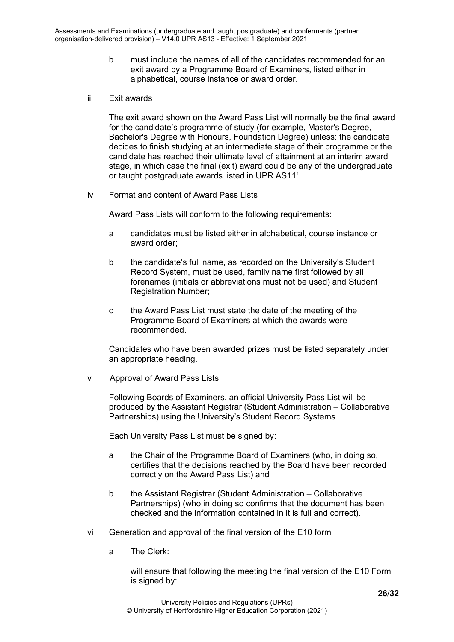- b must include the names of all of the candidates recommended for an exit award by a Programme Board of Examiners, listed either in alphabetical, course instance or award order.
- iii Exit awards

The exit award shown on the Award Pass List will normally be the final award for the candidate's programme of study (for example, Master's Degree, Bachelor's Degree with Honours, Foundation Degree) unless: the candidate decides to finish studying at an intermediate stage of their programme or the candidate has reached their ultimate level of attainment at an interim award stage, in which case the final (exit) award could be any of the undergraduate or taught postgraduate awards listed in UPR AS111.

iv Format and content of Award Pass Lists

Award Pass Lists will conform to the following requirements:

- a candidates must be listed either in alphabetical, course instance or award order;
- b the candidate's full name, as recorded on the University's Student Record System, must be used, family name first followed by all forenames (initials or abbreviations must not be used) and Student Registration Number;
- c the Award Pass List must state the date of the meeting of the Programme Board of Examiners at which the awards were recommended.

Candidates who have been awarded prizes must be listed separately under an appropriate heading.

v Approval of Award Pass Lists

Following Boards of Examiners, an official University Pass List will be produced by the Assistant Registrar (Student Administration – Collaborative Partnerships) using the University's Student Record Systems.

Each University Pass List must be signed by:

- a the Chair of the Programme Board of Examiners (who, in doing so, certifies that the decisions reached by the Board have been recorded correctly on the Award Pass List) and
- b the Assistant Registrar (Student Administration Collaborative Partnerships) (who in doing so confirms that the document has been checked and the information contained in it is full and correct).
- vi Generation and approval of the final version of the E10 form
	- a The Clerk:

will ensure that following the meeting the final version of the E10 Form is signed by: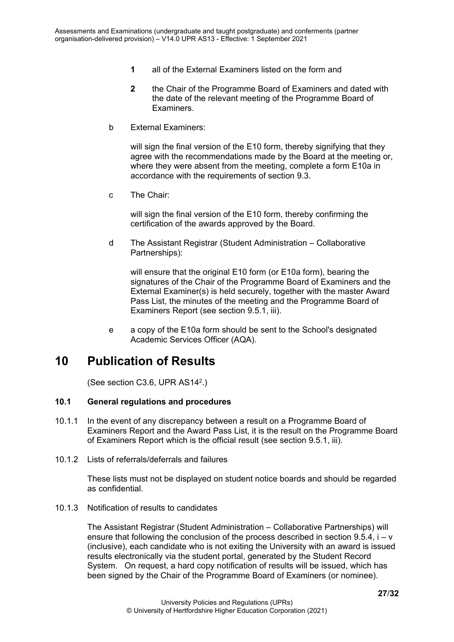- **1** all of the External Examiners listed on the form and
- **2** the Chair of the Programme Board of Examiners and dated with the date of the relevant meeting of the Programme Board of Examiners.
- b External Examiners:

will sign the final version of the E10 form, thereby signifying that they agree with the recommendations made by the Board at the meeting or, where they were absent from the meeting, complete a form E10a in accordance with the requirements of section 9.3.

c The Chair:

will sign the final version of the E10 form, thereby confirming the certification of the awards approved by the Board.

d The Assistant Registrar (Student Administration – Collaborative Partnerships):

will ensure that the original E10 form (or E10a form), bearing the signatures of the Chair of the Programme Board of Examiners and the External Examiner(s) is held securely, together with the master Award Pass List, the minutes of the meeting and the Programme Board of Examiners Report (see section 9.5.1, iii).

e a copy of the E10a form should be sent to the School's designated Academic Services Officer (AQA).

## <span id="page-26-0"></span>**10 Publication of Results**

(See section C3.6, UPR AS142.)

#### <span id="page-26-1"></span>**10.1 General regulations and procedures**

- 10.1.1 In the event of any discrepancy between a result on a Programme Board of Examiners Report and the Award Pass List, it is the result on the Programme Board of Examiners Report which is the official result (see section 9.5.1, iii).
- <span id="page-26-2"></span>10.1.2 Lists of referrals/deferrals and failures

These lists must not be displayed on student notice boards and should be regarded as confidential.

<span id="page-26-3"></span>10.1.3 Notification of results to candidates

The Assistant Registrar (Student Administration – Collaborative Partnerships) will ensure that following the conclusion of the process described in section  $9.5.4$ ,  $i - v$ (inclusive), each candidate who is not exiting the University with an award is issued results electronically via the student portal, generated by the Student Record System. On request, a hard copy notification of results will be issued, which has been signed by the Chair of the Programme Board of Examiners (or nominee).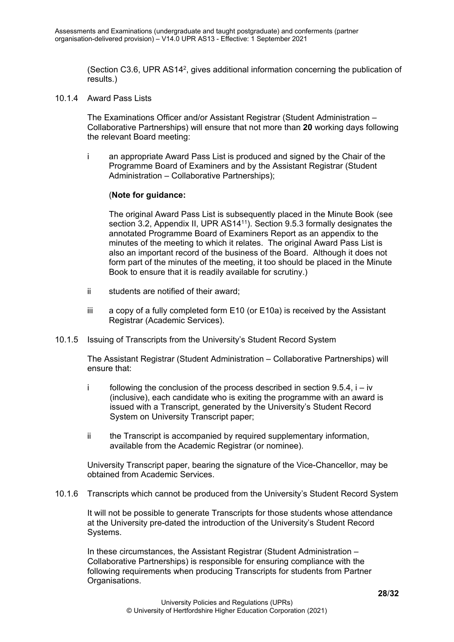(Section C3.6, UPR AS142, gives additional information concerning the publication of results.)

<span id="page-27-0"></span>10.1.4 Award Pass Lists

The Examinations Officer and/or Assistant Registrar (Student Administration – Collaborative Partnerships) will ensure that not more than **20** working days following the relevant Board meeting:

i an appropriate Award Pass List is produced and signed by the Chair of the Programme Board of Examiners and by the Assistant Registrar (Student Administration – Collaborative Partnerships);

#### (**Note for guidance:**

The original Award Pass List is subsequently placed in the Minute Book (see section 3.2, Appendix II, UPR AS14<sup>11</sup>). Section 9.5.3 formally designates the annotated Programme Board of Examiners Report as an appendix to the minutes of the meeting to which it relates. The original Award Pass List is also an important record of the business of the Board. Although it does not form part of the minutes of the meeting, it too should be placed in the Minute Book to ensure that it is readily available for scrutiny.)

- ii students are notified of their award;
- iii a copy of a fully completed form  $E10$  (or  $E10a$ ) is received by the Assistant Registrar (Academic Services).
- <span id="page-27-1"></span>10.1.5 Issuing of Transcripts from the University's Student Record System

The Assistant Registrar (Student Administration – Collaborative Partnerships) will ensure that:

- i following the conclusion of the process described in section  $9.5.4$ , i iv (inclusive), each candidate who is exiting the programme with an award is issued with a Transcript, generated by the University's Student Record System on University Transcript paper;
- ii the Transcript is accompanied by required supplementary information, available from the Academic Registrar (or nominee).

University Transcript paper, bearing the signature of the Vice-Chancellor, may be obtained from Academic Services.

<span id="page-27-2"></span>10.1.6 Transcripts which cannot be produced from the University's Student Record System

It will not be possible to generate Transcripts for those students whose attendance at the University pre-dated the introduction of the University's Student Record Systems.

In these circumstances, the Assistant Registrar (Student Administration – Collaborative Partnerships) is responsible for ensuring compliance with the following requirements when producing Transcripts for students from Partner Organisations.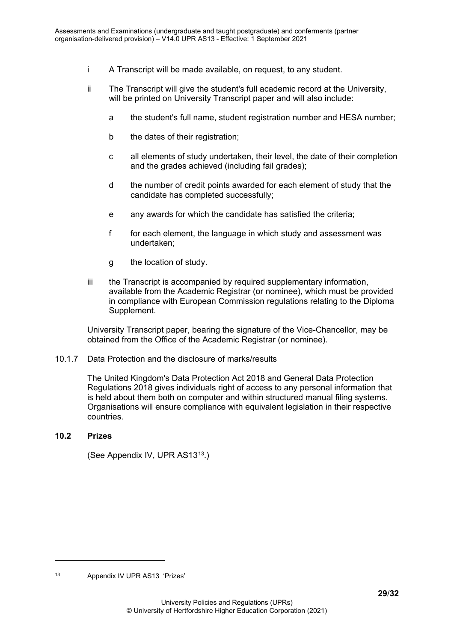- i A Transcript will be made available, on request, to any student.
- ii The Transcript will give the student's full academic record at the University, will be printed on University Transcript paper and will also include:
	- a the student's full name, student registration number and HESA number;
	- b the dates of their registration;
	- c all elements of study undertaken, their level, the date of their completion and the grades achieved (including fail grades);
	- d the number of credit points awarded for each element of study that the candidate has completed successfully;
	- e any awards for which the candidate has satisfied the criteria;
	- f for each element, the language in which study and assessment was undertaken;
	- g the location of study.
- iii the Transcript is accompanied by required supplementary information, available from the Academic Registrar (or nominee), which must be provided in compliance with European Commission regulations relating to the Diploma Supplement.

University Transcript paper, bearing the signature of the Vice-Chancellor, may be obtained from the Office of the Academic Registrar (or nominee).

#### <span id="page-28-0"></span>10.1.7 Data Protection and the disclosure of marks/results

The United Kingdom's Data Protection Act 2018 and General Data Protection Regulations 2018 gives individuals right of access to any personal information that is held about them both on computer and within structured manual filing systems. Organisations will ensure compliance with equivalent legislation in their respective countries.

#### <span id="page-28-1"></span>**10.2 Prizes**

(See Appendix IV, UPR AS13[13.](#page-28-2))

<span id="page-28-2"></span><sup>13</sup> Appendix IV UPR AS13 'Prizes'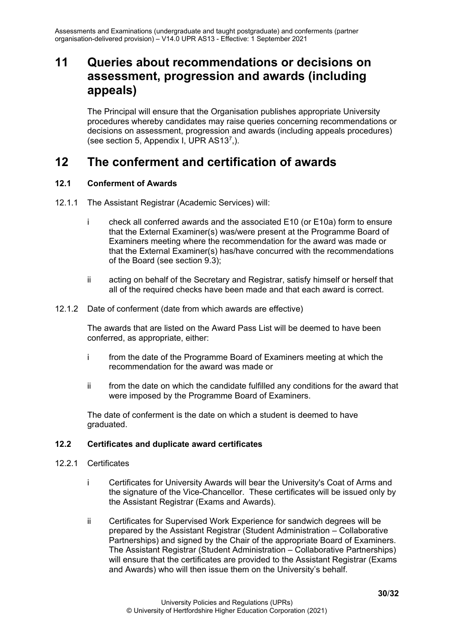## <span id="page-29-0"></span>**11 Queries about recommendations or decisions on assessment, progression and awards (including appeals)**

The Principal will ensure that the Organisation publishes appropriate University procedures whereby candidates may raise queries concerning recommendations or decisions on assessment, progression and awards (including appeals procedures) (see section 5, Appendix I, UPR AS137,).

## <span id="page-29-1"></span>**12 The conferment and certification of awards**

## <span id="page-29-2"></span>**12.1 Conferment of Awards**

- 12.1.1 The Assistant Registrar (Academic Services) will:
	- i check all conferred awards and the associated E10 (or E10a) form to ensure that the External Examiner(s) was/were present at the Programme Board of Examiners meeting where the recommendation for the award was made or that the External Examiner(s) has/have concurred with the recommendations of the Board (see section 9.3);
	- ii acting on behalf of the Secretary and Registrar, satisfy himself or herself that all of the required checks have been made and that each award is correct.
- <span id="page-29-3"></span>12.1.2 Date of conferment (date from which awards are effective)

The awards that are listed on the Award Pass List will be deemed to have been conferred, as appropriate, either:

- i from the date of the Programme Board of Examiners meeting at which the recommendation for the award was made or
- ii from the date on which the candidate fulfilled any conditions for the award that were imposed by the Programme Board of Examiners.

The date of conferment is the date on which a student is deemed to have graduated.

## <span id="page-29-5"></span><span id="page-29-4"></span>**12.2 Certificates and duplicate award certificates**

- <span id="page-29-6"></span>12.2.1 Certificates
	- i Certificates for University Awards will bear the University's Coat of Arms and the signature of the Vice-Chancellor. These certificates will be issued only by the Assistant Registrar (Exams and Awards).
	- ii Certificates for Supervised Work Experience for sandwich degrees will be prepared by the Assistant Registrar (Student Administration – Collaborative Partnerships) and signed by the Chair of the appropriate Board of Examiners. The Assistant Registrar (Student Administration – Collaborative Partnerships) will ensure that the certificates are provided to the Assistant Registrar (Exams and Awards) who will then issue them on the University's behalf.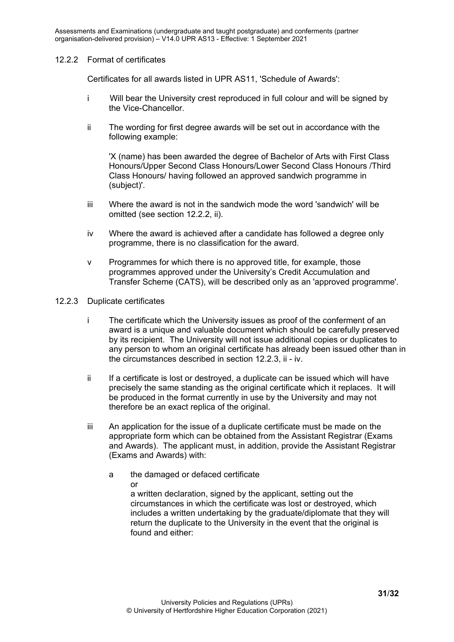#### 12.2.2 Format of certificates

Certificates for all awards listed in UPR AS11, 'Schedule of Awards':

- i Will bear the University crest reproduced in full colour and will be signed by the Vice-Chancellor.
- ii The wording for first degree awards will be set out in accordance with the following example:

'X (name) has been awarded the degree of Bachelor of Arts with First Class Honours/Upper Second Class Honours/Lower Second Class Honours /Third Class Honours/ having followed an approved sandwich programme in (subject)'.

- iii Where the award is not in the sandwich mode the word 'sandwich' will be omitted (see section 12.2.2, ii).
- iv Where the award is achieved after a candidate has followed a degree only programme, there is no classification for the award.
- v Programmes for which there is no approved title, for example, those programmes approved under the University's Credit Accumulation and Transfer Scheme (CATS), will be described only as an 'approved programme'.
- <span id="page-30-0"></span>12.2.3 Duplicate certificates
	- i The certificate which the University issues as proof of the conferment of an award is a unique and valuable document which should be carefully preserved by its recipient. The University will not issue additional copies or duplicates to any person to whom an original certificate has already been issued other than in the circumstances described in section 12.2.3, ii - iv.
	- ii If a certificate is lost or destroyed, a duplicate can be issued which will have precisely the same standing as the original certificate which it replaces. It will be produced in the format currently in use by the University and may not therefore be an exact replica of the original.
	- iii An application for the issue of a duplicate certificate must be made on the appropriate form which can be obtained from the Assistant Registrar (Exams and Awards). The applicant must, in addition, provide the Assistant Registrar (Exams and Awards) with:
		- a the damaged or defaced certificate or

a written declaration, signed by the applicant, setting out the circumstances in which the certificate was lost or destroyed, which includes a written undertaking by the graduate/diplomate that they will return the duplicate to the University in the event that the original is found and either: